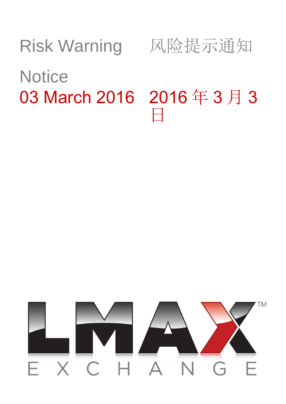## Risk Warning 风险提示通知 **Notice** 03 March 2016 2016 年 3 月 3 日

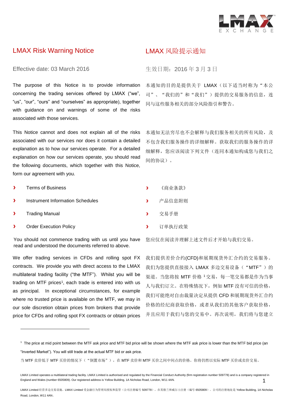

## LMAX Risk Warning Notice LMAX 风险提示通知

## Effective date: 03 March 2016 生效日期:2016 年 3 月 3 日

The purpose of this Notice is to provide information concerning the trading services offered by LMAX ("we", "us", "our", "ours" and "ourselves" as appropriate), together with guidance on and warnings of some of the risks associated with those services.

This Notice cannot and does not explain all of the risks associated with our services nor does it contain a detailed explanation as to how our services operate. For a detailed explanation on how our services operate, you should read the following documents, which together with this Notice, form our agreement with you.

- $\overline{\mathbf{z}}$ Terms of Business **Contract Contract Contract Contract Contract Contract Contract Contract Contract Contract Contract Contract Contract Contract Contract Contract Contract Contract Contract Contract Contract Contract Cont**
- X Instrument Information Schedules **butter in the Schedule Austice Container** and the example of  $\mathbf{z}$
- $\overline{\mathbf{v}}$ Trading Manual 2008年 2月20日 10:00 10:00 10:00 10:00 10:00 10:00 10:00 10:00 10:00 10:00 10:00 10:00 10:00 10:00

l

Order Execution Policy <br> **Draw TOMAGE SECUTE:** THE TOMAGE TO THE THE THE TOMAGE TO THE THE TOWARD TO THE THE THE TOWARD TO THE THE THE T  $\overline{\phantom{a}}$ 

You should not commence trading with us until you have read and understood the documents referred to above.

We offer trading services in CFDs and rolling spot FX contracts. We provide you with direct access to the LMAX multilateral trading facility ("the MTF"). Whilst you will be trading on MTF prices<sup>1</sup>, each trade is entered into with us as principal. In exceptional circumstances, for example where no trusted price is available on the MTF, we may in our sole discretion obtain prices from brokers that provide price for CFDs and rolling spot FX contracts or obtain prices

本通知的目的是提供关于 LMAX(以下适当时称为"本公 司"、"我们的"和"我们")提供的交易服务的信息,连 同与这些服务相关的部分风险指引和警告。

本通知无法穷尽也不会解释与我们服务相关的所有风险,及 不包含我们服务操作的详细解释。获取我们的服务操作的详 细解释,您应该阅读下列文件(连同本通知构成您与我们之 间的协议)。

- 
- 
- 
- 

您应仅在阅读并理解上述文件后才开始与我们交易。

我们提供差价合约(CFD)和展期现货外汇合约的交易服务。 我们为您提供直接接入 LMAX 多边交易设备("MTF")的 渠道。当您将按 MTF 价格 <sup>1</sup>交易,每一笔交易都是作为当事 人与我们订立。在特殊情况下,例如 MTF 没有可信的价格, 我们可能绝对自由裁量决定从提供 CFD 和展期现货外汇合约 价格的经纪商获取价格,或者从我们的其他客户获取价格, 并且应用于我们与您的交易中。再次说明,我们将与您建立

<sup>&</sup>lt;sup>1</sup> The price at mid point between the MTF ask price and MTF bid price will be shown where the MTF ask price is lower than the MTF bid price (an "Inverted Market"). You will still trade at the actual MTF bid or ask price.

当 MTF 卖价低于 MTF 买价的情况下("倒置市场"), 在 MTF 卖价和 MTF 买价之间中间点的价格。你将仍然以实际 MTF 买价或卖价交易。

LMAX Limited operates a multilateral trading facility. LMAX Limited is authorised and regulated by the Financial Conduct Authority (firm registration number 509778) and is a company registered in England and Wales (number 6505809). Our registered address is Yellow Building, 1A Nicholas Road, London, W11 4AN. 1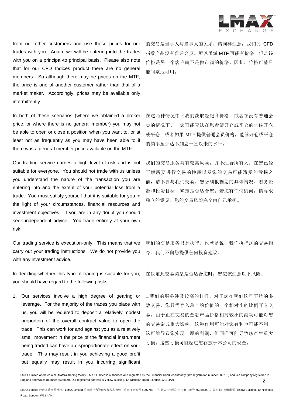

from our other customers and use these prices for our trades with you. Again, we will be entering into the trades with you on a principal-to principal basis. Please also note that for our CFD Indices product there are no general members. So although there may be prices on the MTF, the price is one of another customer rather than that of a market maker. Accordingly, prices may be available only intermittently.

In both of these scenarios (where we obtained a broker price, or where there is no general member) you may not be able to open or close a position when you want to, or at least not as frequently as you may have been able to if there was a general member price available on the MTF.

Our trading service carries a high level of risk and is not suitable for everyone. You should not trade with us unless you understand the nature of the transaction you are entering into and the extent of your potential loss from a trade. You must satisfy yourself that it is suitable for you in the light of your circumstances, financial resources and investment objectives. If you are in any doubt you should seek independent advice. You trade entirely at your own risk.

Our trading service is execution-only. This means that we carry out your trading instructions. We do not provide you with any investment advice.

In deciding whether this type of trading is suitable for you, you should have regard to the following risks.

1. Our services involve a high degree of gearing or leverage. For the majority of the trades you place with us, you will be required to deposit a relatively modest proportion of the overall contract value to open the trade. This can work for and against you as a relatively small movement in the price of the financial instrument being traded can have a disproportionate effect on your trade. This may result in you achieving a good profit but equally may result in you incurring significant 的交易是当事人与当事人的关系。请同样注意,我们的 CFD 指数产品没有普通会员。所以虽然 MTF 可能有价格, 但是该 价格是另一个客户而不是做市商的价格。因此,价格可能只 能间歇地可用。

在这两种情况中(我们获取经纪商价格,或者在没有普通会 员的情况下),您可能无法在您希望开仓或平仓的时候开仓 或平仓; 或者如果 MTF 提供普通会员价格, 能够开仓或平仓 的频率至少达不到您一直以来的水平。

我们的交易服务具有较高风险,并不适合所有人。在您已经 了解所要进行交易的性质以及您的交易可能遭受的亏损之 前,请不要与我们交易。您必须根据您的具体情况、财务资 源和投资目标,确定是否适合您。若您有任何疑问,请寻求 独立的意见。您的交易风险完全由自己承担。

我们的交易服务只是执行,也就是说,我们执行您的交易指 令。我们不向您提供任何投资建议。

在决定此交易类型是否适合您时,您应该注意以下风险。

1.我们的服务涉及较高的杠杆。对于您在我们这里下达的多 数交易,您只需存入总合约价值的一个相对小的比例开立交 易。由于正在交易的金融产品价格相对较小的波动可能对您 的交易造成重大影响,这种作用可能对您有利也可能不利。 这可能导致您实现丰厚的利润,但同样可能导致您产生重大 亏损。这些亏损可能超过您存放于本公司的现金。

LMAX Limited operates a multilateral trading facility. LMAX Limited is authorised and regulated by the Financial Conduct Authority (firm registration number 509778) and is a company registered in England and Wales (number 6505809). Our registered address is Yellow Building, 1A Nicholas Road, London, W11 4AN. 2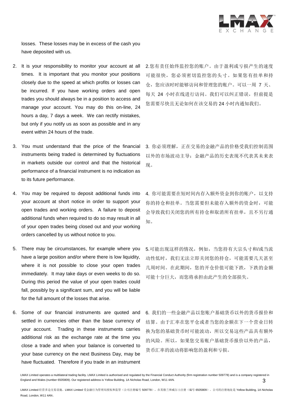

losses. These losses may be in excess of the cash you have deposited with us.

- 2. It is your responsibility to monitor your account at all times. It is important that you monitor your positions closely due to the speed at which profits or losses can be incurred. If you have working orders and open trades you should always be in a position to access and manage your account. You may do this on-line, 24 hours a day, 7 days a week. We can rectify mistakes, but only if you notify us as soon as possible and in any event within 24 hours of the trade.
- 3. You must understand that the price of the financial instruments being traded is determined by fluctuations in markets outside our control and that the historical performance of a financial instrument is no indication as to its future performance.
- 4. You may be required to deposit additional funds into your account at short notice in order to support your open trades and working orders. A failure to deposit additional funds when required to do so may result in all of your open trades being closed out and your working orders cancelled by us without notice to you.
- 5. There may be circumstances, for example where you have a large position and/or where there is low liquidity, where it is not possible to close your open trades immediately. It may take days or even weeks to do so. During this period the value of your open trades could fall, possibly by a significant sum, and you will be liable for the full amount of the losses that arise.
- 6. Some of our financial instruments are quoted and settled in currencies other than the base currency of your account. Trading in these instruments carries additional risk as the exchange rate at the time you close a trade and when your balance is converted to your base currency on the next Business Day, may be have fluctuated. Therefore if you trade in an instrument

2.您有责任始终监控您的账户。由于盈利或亏损产生的速度 可能很快,您必须密切监控您的头寸。如果您有挂单和持 仓,您应该时时能够访问和管理您的账户。可以一周 7 天、 每天 24 小时在线进行访问。我们可以纠正错误,但前提是 您需要尽快且无论如何在该交易的 24 小时内通知我们。

3. 你必须理解,正在交易的金融产品的价格受我们控制范围 以外的市场波动主导;金融产品的历史表现不代表其未来表 现。

4. 你可能需要在短时间内存入额外资金到你的账户,以支持 你的持仓和挂单。当您需要但未能存入额外的资金时,可能 会导致我们关闭您的所有持仓和取消所有挂单,且不另行通 知。

5.可能出现这样的情况,例如,当您持有大宗头寸和/或当流 动性低时,我们无法立即关闭您的持仓,可能需要几天甚至 几周时间。在此期间,您的开仓价值可能下跌,下跌的金额 可能十分巨大,而您将承担由此产生的全部损失。

6. 我们的一些金融产品以您账户基础货币以外的货币报价和 结算。由于汇率在您平仓或者当您的余额在下一个营业日转 换为您的基础货币时可能波动,所以交易这些产品具有额外 的风险。所以,如果您交易账户基础货币报价以外的产品, 货币汇率的波动将影响您的盈利和亏损。

LMAX Limited operates a multilateral trading facility. LMAX Limited is authorised and regulated by the Financial Conduct Authority (firm registration number 509778) and is a company registered in England and Wales (number 6505809). Our registered address is Yellow Building, 1A Nicholas Road, London, W11 4AN. 3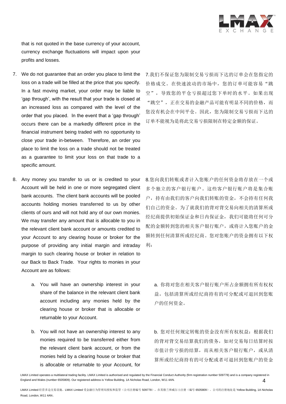

that is not quoted in the base currency of your account, currency exchange fluctuations will impact upon your profits and losses.

- 7. We do not guarantee that an order you place to limit the loss on a trade will be filled at the price that you specify. In a fast moving market, your order may be liable to 'gap through', with the result that your trade is closed at an increased loss as compared with the level of the order that you placed. In the event that a 'gap through' occurs there can be a markedly different price in the financial instrument being traded with no opportunity to close your trade in-between. Therefore, an order you place to limit the loss on a trade should not be treated as a guarantee to limit your loss on that trade to a specific amount.
- 8. Any money you transfer to us or is credited to your Account will be held in one or more segregated client bank accounts. The client bank accounts will be pooled accounts holding monies transferred to us by other clients of ours and will not hold any of our own monies. We may transfer any amount that is allocable to you in the relevant client bank account or amounts credited to your Account to any clearing house or broker for the purpose of providing any initial margin and intraday margin to such clearing house or broker in relation to our Back to Back Trade. Your rights to monies in your Account are as follows:
	- a. You will have an ownership interest in your share of the balance in the relevant client bank account including any monies held by the clearing house or broker that is allocable or returnable to your Account.
	- b. You will not have an ownership interest to any monies required to be transferred either from the relevant client bank account, or from the monies held by a clearing house or broker that is allocable or returnable to your Account, for

7.我们不保证您为限制交易亏损而下达的订单会在您指定的 价格成交。在快速波动的市场中,您的订单可能容易"跳 空",导致您的平仓亏损超过您下单时的水平。如果出现 "跳空",正在交易的金融产品可能有明显不同的价格,而 您没有机会在中间平仓。因此,您为限制交易亏损而下达的 订单不能视为是将此交易亏损限制在特定金额的保证。

8.您向我们转账或者计入您账户的任何资金将存放在一个或 多个独立的客户银行账户。这些客户银行账户将是集合账 户,持有由我们的客户向我们转账的资金,不会持有任何我 们自己的资金。为了就我们的背对背交易向相关的清算所或 经纪商提供初始保证金和日内保证金,我们可能将任何可分 配的金额转到您的相关客户银行账户,或将计入您账户的金 额转到任何清算所或经纪商。您对您账户的资金拥有以下权 利:

a. 你将对您在相关客户银行账户所占余额拥有所有权权 益,包括清算所或经纪商持有的可分配或可退回到您账 户的任何资金。

b. 您对任何规定转账的资金没有所有权权益:根据我们 的背对背交易结算我们的债务,如对交易每日结算时按 市值计价亏损的结算,而从相关客户银行账户,或从清 算所或经纪商持有的可分配或者可退回到您账户的资金

LMAX Limited operates a multilateral trading facility. LMAX Limited is authorised and regulated by the Financial Conduct Authority (firm registration number 509778) and is a company registered in England and Wales (number 6505809). Our registered address is Yellow Building, 1A Nicholas Road, London, W11 4AN. 4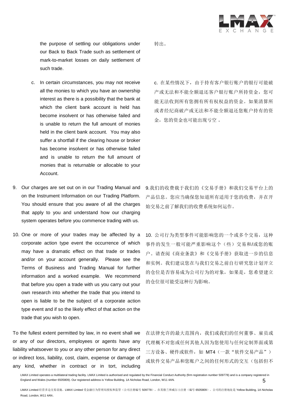

the purpose of settling our obligations under our Back to Back Trade such as settlement of mark-to-market losses on daily settlement of such trade.

- c. In certain circumstances, you may not receive all the monies to which you have an ownership interest as there is a possibility that the bank at which the client bank account is held has become insolvent or has otherwise failed and is unable to return the full amount of monies held in the client bank account. You may also suffer a shortfall if the clearing house or broker has become insolvent or has otherwise failed and is unable to return the full amount of monies that is returnable or allocable to your Account.
- 9. Our charges are set out on in our Trading Manual and on the Instrument Information on our Trading Platform. You should ensure that you aware of all the charges that apply to you and understand how our charging system operates before you commence trading with us.
- 10. One or more of your trades may be affected by a corporate action type event the occurrence of which may have a dramatic effect on that trade or trades and/or on your account generally. Please see the Terms of Business and Trading Manual for further information and a worked example. We recommend that before you open a trade with us you carry out your own research into whether the trade that you intend to open is liable to be the subject of a corporate action type event and if so the likely effect of that action on the trade that you wish to open.

To the fullest extent permitted by law, in no event shall we or any of our directors, employees or agents have any liability whatsoever to you or any other person for any direct or indirect loss, liability, cost, claim, expense or damage of any kind, whether in contract or in tort, including

转出。

c. 在某些情况下,由于持有客户银行账户的银行可能破 产或无法和不能全额退还客户银行账户所持资金,您可 能无法收到所有您拥有所有权权益的资金。如果清算所 或者经纪商破产或无法和不能全额退还您账户持有的资 金,您的资金也可能出现亏空 。

9.我们的收费载于我们的《交易手册》和我们交易平台上的 产品信息。您应当确保您知道所有适用于您的收费,并在开 始交易之前了解我们的收费系统如何运作。

10. 公司行为类型事件可能影响您的一个或多个交易,这种 事件的发生一般可能严重影响这个(些)交易和/或您的账 户。请查阅《商业条款》和《交易手册》获取进一步的信息 和实例。我们建议您在与我们交易之前自行研究您计划开立 的仓位是否容易成为公司行为的对象,如果是,您希望建立 的仓位很可能受这种行为影响。

在法律允许的最大范围内,我们或我们的任何董事、雇员或 代理概不对您或任何其他人因为您使用与任何定制界面或第 三方设备、硬件或软件,如 MT4 (一款"软件交易产品") 或软件交易产品和您账户之间的任何形式的交互(包括但不

LMAX Limited operates a multilateral trading facility. LMAX Limited is authorised and regulated by the Financial Conduct Authority (firm registration number 509778) and is a company registered in England and Wales (number 6505809). Our registered address is Yellow Building, 1A Nicholas Road, London, W11 4AN. 5